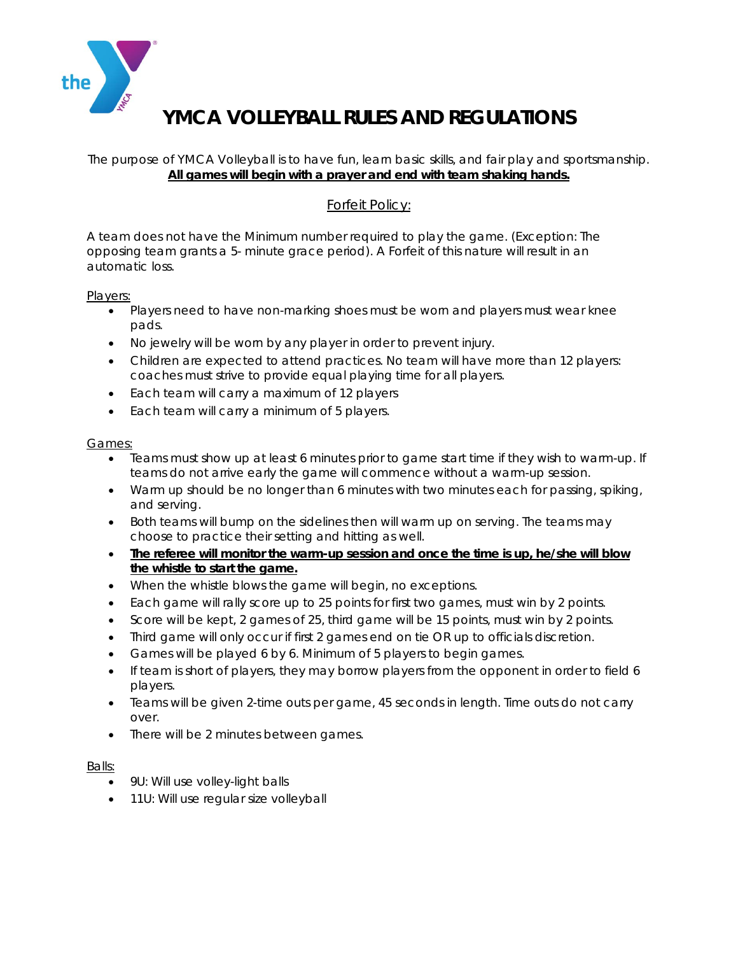

# **YMCA VOLLEYBALL RULES AND REGULATIONS**

### The purpose of YMCA Volleyball is to have fun, learn basic skills, and fair play and sportsmanship. **All games will begin with a prayer and end with team shaking hands.**

## Forfeit Policy:

A team does not have the Minimum number required to play the game. (Exception: The opposing team grants a 5- minute grace period). A Forfeit of this nature will result in an automatic loss.

#### Players:

- Players need to have non-marking shoes must be worn and players must wear knee pads.
- No jewelry will be worn by any player in order to prevent injury.
- Children are expected to attend practices. No team will have more than 12 players: coaches must strive to provide equal playing time for all players.
- Each team will carry a maximum of 12 players
- Each team will carry a minimum of 5 players.

#### Games:

- Teams must show up at least 6 minutes prior to game start time if they wish to warm-up. If teams do not arrive early the game will commence without a warm-up session.
- Warm up should be no longer than 6 minutes with two minutes each for passing, spiking, and serving.
- Both teams will bump on the sidelines then will warm up on serving. The teams may choose to practice their setting and hitting as well.
- **The referee will monitor the warm-up session and once the time is up, he/she will blow the whistle to start the game.**
- When the whistle blows the game will begin, no exceptions.
- Each game will rally score up to 25 points for first two games, must win by 2 points.
- Score will be kept, 2 games of 25, third game will be 15 points, must win by 2 points.
- Third game will only occur if first 2 games end on tie OR up to officials discretion.
- Games will be played 6 by 6. Minimum of 5 players to begin games.
- If team is short of players, they may borrow players from the opponent in order to field 6 players.
- Teams will be given 2-time outs per game, 45 seconds in length. Time outs do not carry over.
- There will be 2 minutes between games.

### Balls:

- 9U: Will use volley-light balls
- 11U: Will use regular size volleyball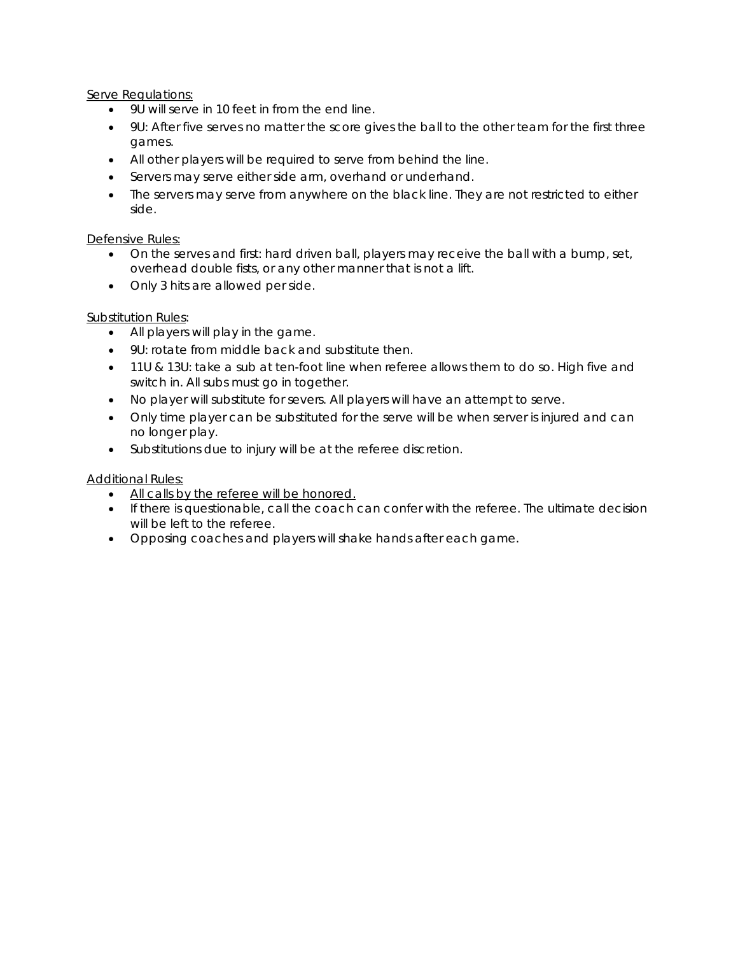Serve Regulations:

- 9U will serve in 10 feet in from the end line.
- 9U: After five serves no matter the score gives the ball to the other team for the first three games.
- All other players will be required to serve from behind the line.
- Servers may serve either side arm, overhand or underhand.
- The servers may serve from anywhere on the black line. They are not restricted to either side.

## Defensive Rules:

- On the serves and first: hard driven ball, players may receive the ball with a bump, set, overhead double fists, or any other manner that is not a lift.
- Only 3 hits are allowed per side.

## Substitution Rules:

- All players will play in the game.
- 9U: rotate from middle back and substitute then.
- 11U & 13U: take a sub at ten-foot line when referee allows them to do so. High five and switch in. All subs must go in together.
- No player will substitute for severs. All players will have an attempt to serve.
- Only time player can be substituted for the serve will be when server is injured and can no longer play.
- Substitutions due to injury will be at the referee discretion.

## Additional Rules:

- All calls by the referee will be honored.
- If there is questionable, call the coach can confer with the referee. The ultimate decision will be left to the referee.
- Opposing coaches and players will shake hands after each game.